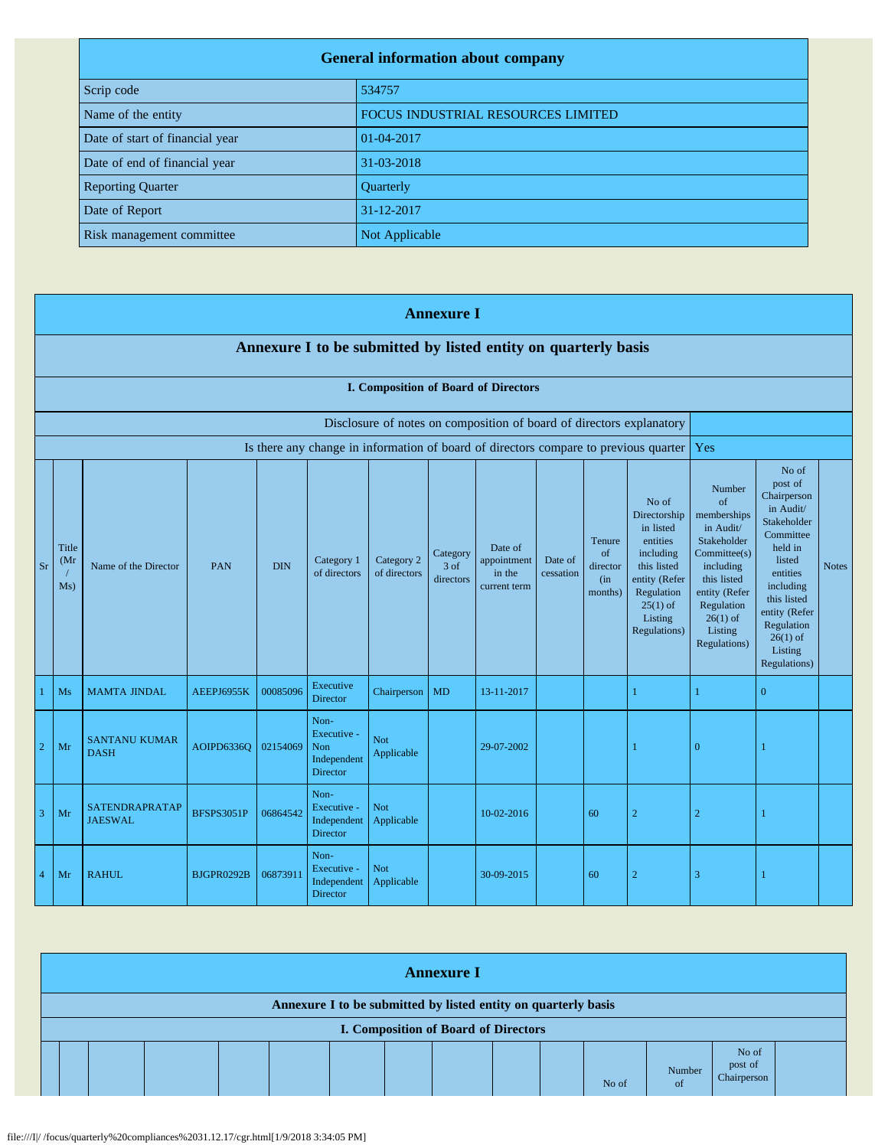| <b>General information about company</b> |                                    |  |  |  |
|------------------------------------------|------------------------------------|--|--|--|
| Scrip code                               | 534757                             |  |  |  |
| Name of the entity                       | FOCUS INDUSTRIAL RESOURCES LIMITED |  |  |  |
| Date of start of financial year          | 01-04-2017                         |  |  |  |
| Date of end of financial year            | 31-03-2018                         |  |  |  |
| <b>Reporting Quarter</b>                 | Quarterly                          |  |  |  |
| Date of Report                           | 31-12-2017                         |  |  |  |
| Risk management committee                | Not Applicable                     |  |  |  |

|                | <b>Annexure I</b>                                                    |                                     |                   |            |                                                       |                            |                               |                                                  |                      |                                            |                                                                                                                                                    |                                                                                                                                                                            |                                                                                                                                                                                                               |              |
|----------------|----------------------------------------------------------------------|-------------------------------------|-------------------|------------|-------------------------------------------------------|----------------------------|-------------------------------|--------------------------------------------------|----------------------|--------------------------------------------|----------------------------------------------------------------------------------------------------------------------------------------------------|----------------------------------------------------------------------------------------------------------------------------------------------------------------------------|---------------------------------------------------------------------------------------------------------------------------------------------------------------------------------------------------------------|--------------|
|                | Annexure I to be submitted by listed entity on quarterly basis       |                                     |                   |            |                                                       |                            |                               |                                                  |                      |                                            |                                                                                                                                                    |                                                                                                                                                                            |                                                                                                                                                                                                               |              |
|                | I. Composition of Board of Directors                                 |                                     |                   |            |                                                       |                            |                               |                                                  |                      |                                            |                                                                                                                                                    |                                                                                                                                                                            |                                                                                                                                                                                                               |              |
|                | Disclosure of notes on composition of board of directors explanatory |                                     |                   |            |                                                       |                            |                               |                                                  |                      |                                            |                                                                                                                                                    |                                                                                                                                                                            |                                                                                                                                                                                                               |              |
|                |                                                                      |                                     |                   |            |                                                       |                            |                               |                                                  |                      |                                            | Is there any change in information of board of directors compare to previous quarter                                                               | Yes                                                                                                                                                                        |                                                                                                                                                                                                               |              |
| <b>Sr</b>      | Title<br>(Mr)<br>Ms)                                                 | Name of the Director                | PAN               | <b>DIN</b> | Category 1<br>of directors                            | Category 2<br>of directors | Category<br>3 of<br>directors | Date of<br>appointment<br>in the<br>current term | Date of<br>cessation | Tenure<br>of<br>director<br>(in<br>months) | No of<br>Directorship<br>in listed<br>entities<br>including<br>this listed<br>entity (Refer<br>Regulation<br>$25(1)$ of<br>Listing<br>Regulations) | Number<br>of<br>memberships<br>in Audit/<br>Stakeholder<br>Commitee(s)<br>including<br>this listed<br>entity (Refer<br>Regulation<br>$26(1)$ of<br>Listing<br>Regulations) | No of<br>post of<br>Chairperson<br>in Audit/<br>Stakeholder<br>Committee<br>held in<br>listed<br>entities<br>including<br>this listed<br>entity (Refer<br>Regulation<br>$26(1)$ of<br>Listing<br>Regulations) | <b>Notes</b> |
|                | Ms                                                                   | <b>MAMTA JINDAL</b>                 | AEEPJ6955K        | 00085096   | Executive<br><b>Director</b>                          | Chairperson                | <b>MD</b>                     | 13-11-2017                                       |                      |                                            |                                                                                                                                                    | $\mathbf{1}$                                                                                                                                                               | $\mathbf{0}$                                                                                                                                                                                                  |              |
| $\sqrt{2}$     | Mr                                                                   | <b>SANTANU KUMAR</b><br><b>DASH</b> | AOIPD6336Q        | 02154069   | Non-<br>Executive -<br>Non<br>Independent<br>Director | <b>Not</b><br>Applicable   |                               | 29-07-2002                                       |                      |                                            |                                                                                                                                                    | $\overline{0}$                                                                                                                                                             |                                                                                                                                                                                                               |              |
| $\overline{3}$ | Mr                                                                   | SATENDRAPRATAP<br><b>JAESWAL</b>    | <b>BFSPS3051P</b> | 06864542   | Non-<br>Executive -<br>Independent<br><b>Director</b> | <b>Not</b><br>Applicable   |                               | 10-02-2016                                       |                      | 60                                         | $\overline{2}$                                                                                                                                     | $\overline{2}$                                                                                                                                                             |                                                                                                                                                                                                               |              |
| $\overline{4}$ | Mr                                                                   | <b>RAHUL</b>                        | BJGPR0292B        | 06873911   | Non-<br>Executive -<br>Independent<br><b>Director</b> | <b>Not</b><br>Applicable   |                               | 30-09-2015                                       |                      | 60                                         | $\overline{2}$                                                                                                                                     | 3                                                                                                                                                                          |                                                                                                                                                                                                               |              |

| <b>Annexure I</b>                                                                                      |  |  |  |  |  |  |  |  |  |  |       |              |                                 |  |
|--------------------------------------------------------------------------------------------------------|--|--|--|--|--|--|--|--|--|--|-------|--------------|---------------------------------|--|
| Annexure I to be submitted by listed entity on quarterly basis<br>I. Composition of Board of Directors |  |  |  |  |  |  |  |  |  |  |       |              |                                 |  |
|                                                                                                        |  |  |  |  |  |  |  |  |  |  | No of | Number<br>of | No of<br>post of<br>Chairperson |  |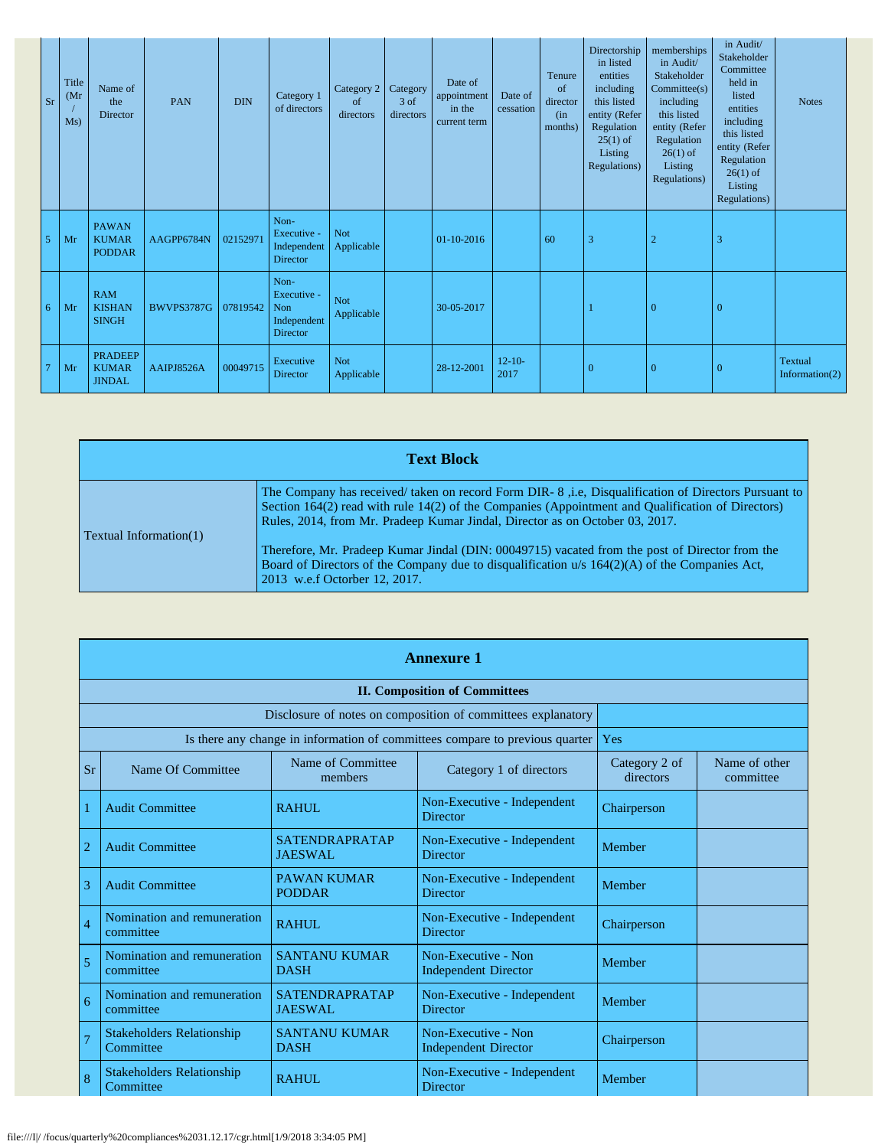| <b>Sr</b>      |    | Title<br>(Mr)<br>Ms) | Name of<br>the<br>Director                      | PAN               | <b>DIN</b> | Category 1<br>of directors                                   | Category 2<br>of<br>directors | Category<br>3 of<br>directors | Date of<br>appointment<br>in the<br>current term | Date of<br>cessation | Tenure<br>of<br>director<br>(in<br>months) | Directorship<br>in listed<br>entities<br>including<br>this listed<br>entity (Refer<br>Regulation<br>$25(1)$ of<br>Listing<br>Regulations) | memberships<br>in Audit/<br>Stakeholder<br>Commitee(s)<br>including<br>this listed<br>entity (Refer<br>Regulation<br>$26(1)$ of<br>Listing<br>Regulations) | in Audit/<br>Stakeholder<br>Committee<br>held in<br>listed<br>entities<br>including<br>this listed<br>entity (Refer<br>Regulation<br>$26(1)$ of<br>Listing<br>Regulations) | <b>Notes</b>              |
|----------------|----|----------------------|-------------------------------------------------|-------------------|------------|--------------------------------------------------------------|-------------------------------|-------------------------------|--------------------------------------------------|----------------------|--------------------------------------------|-------------------------------------------------------------------------------------------------------------------------------------------|------------------------------------------------------------------------------------------------------------------------------------------------------------|----------------------------------------------------------------------------------------------------------------------------------------------------------------------------|---------------------------|
| 5              |    | Mr                   | <b>PAWAN</b><br><b>KUMAR</b><br><b>PODDAR</b>   | AAGPP6784N        | 02152971   | Non-<br>Executive -<br>Independent<br>Director               | <b>Not</b><br>Applicable      |                               | 01-10-2016                                       |                      | 60                                         | 3                                                                                                                                         | $\overline{2}$                                                                                                                                             | 3                                                                                                                                                                          |                           |
| 6              | Mr |                      | <b>RAM</b><br><b>KISHAN</b><br><b>SINGH</b>     | <b>BWVPS3787G</b> | 07819542   | Non-<br>Executive -<br>Non<br>Independent<br><b>Director</b> | <b>Not</b><br>Applicable      |                               | 30-05-2017                                       |                      |                                            |                                                                                                                                           | $\Omega$                                                                                                                                                   | $\overline{0}$                                                                                                                                                             |                           |
| $\overline{7}$ |    | Mr                   | <b>PRADEEP</b><br><b>KUMAR</b><br><b>JINDAL</b> | AAIPJ8526A        | 00049715   | Executive<br>Director                                        | Not<br>Applicable             |                               | 28-12-2001                                       | $12 - 10 -$<br>2017  |                                            | $\overline{0}$                                                                                                                            | $\Omega$                                                                                                                                                   | $\mathbf{0}$                                                                                                                                                               | Textual<br>Information(2) |

| <b>Text Block</b>             |                                                                                                                                                                                                                                                                                            |  |  |  |  |
|-------------------------------|--------------------------------------------------------------------------------------------------------------------------------------------------------------------------------------------------------------------------------------------------------------------------------------------|--|--|--|--|
| <b>Textual Information(1)</b> | The Company has received/ taken on record Form DIR-8 , i.e, Disqualification of Directors Pursuant to<br>Section 164(2) read with rule 14(2) of the Companies (Appointment and Qualification of Directors)<br>Rules, 2014, from Mr. Pradeep Kumar Jindal, Director as on October 03, 2017. |  |  |  |  |
|                               | Therefore, Mr. Pradeep Kumar Jindal (DIN: 00049715) vacated from the post of Director from the<br>Board of Directors of the Company due to disqualification $u/s$ 164(2)(A) of the Companies Act,<br>2013 w.e.f Octorber 12, 2017.                                                         |  |  |  |  |

|                | <b>Annexure 1</b>                                            |                                         |                                                                              |                            |                            |  |  |  |
|----------------|--------------------------------------------------------------|-----------------------------------------|------------------------------------------------------------------------------|----------------------------|----------------------------|--|--|--|
|                | <b>II. Composition of Committees</b>                         |                                         |                                                                              |                            |                            |  |  |  |
|                | Disclosure of notes on composition of committees explanatory |                                         |                                                                              |                            |                            |  |  |  |
|                |                                                              |                                         | Is there any change in information of committees compare to previous quarter | Yes                        |                            |  |  |  |
| <b>Sr</b>      | Name Of Committee                                            | Name of Committee<br>members            | Category 1 of directors                                                      | Category 2 of<br>directors | Name of other<br>committee |  |  |  |
|                | <b>Audit Committee</b>                                       | <b>RAHUL</b>                            | Non-Executive - Independent<br><b>Director</b>                               | Chairperson                |                            |  |  |  |
| $\overline{2}$ | <b>Audit Committee</b>                                       | <b>SATENDRAPRATAP</b><br><b>JAESWAL</b> | Non-Executive - Independent<br><b>Director</b>                               | Member                     |                            |  |  |  |
| 3              | <b>Audit Committee</b>                                       | <b>PAWAN KUMAR</b><br><b>PODDAR</b>     | Non-Executive - Independent<br><b>Director</b>                               | Member                     |                            |  |  |  |
| $\overline{4}$ | Nomination and remuneration<br>committee                     | <b>RAHUL</b>                            | Non-Executive - Independent<br><b>Director</b>                               | Chairperson                |                            |  |  |  |
| 5              | Nomination and remuneration<br>committee                     | <b>SANTANU KUMAR</b><br><b>DASH</b>     | Non-Executive - Non<br><b>Independent Director</b>                           | Member                     |                            |  |  |  |
| 6              | Nomination and remuneration<br>committee                     | <b>SATENDRAPRATAP</b><br><b>JAESWAL</b> | Non-Executive - Independent<br><b>Director</b>                               | Member                     |                            |  |  |  |
| $\overline{7}$ | <b>Stakeholders Relationship</b><br>Committee                | <b>SANTANU KUMAR</b><br><b>DASH</b>     | Non-Executive - Non<br><b>Independent Director</b>                           | Chairperson                |                            |  |  |  |
| 8              | <b>Stakeholders Relationship</b><br>Committee                | <b>RAHUL</b>                            | Non-Executive - Independent<br><b>Director</b>                               | Member                     |                            |  |  |  |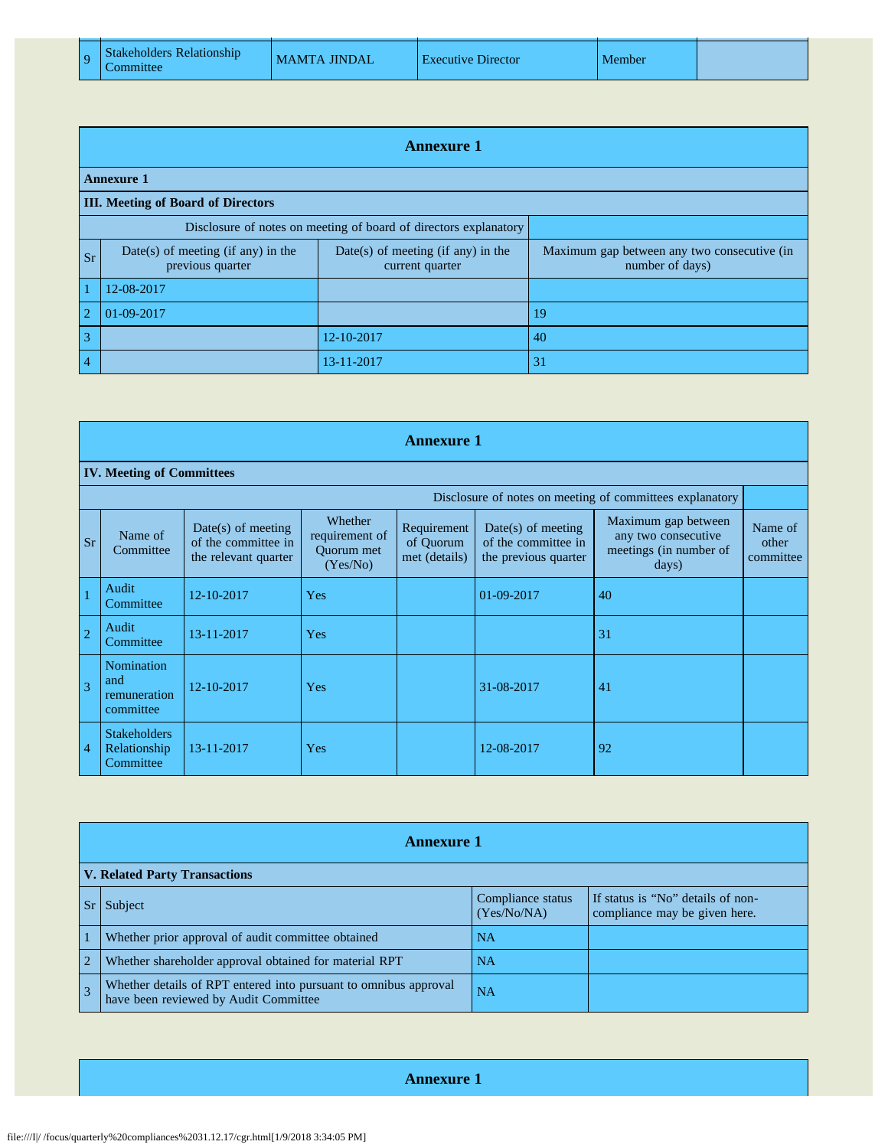| 9 | Stakeholders Relationship |
|---|---------------------------|
|   | Committee                 |

|                | <b>Annexure 1</b>                                                |                                                         |                                                                |  |  |  |  |  |  |
|----------------|------------------------------------------------------------------|---------------------------------------------------------|----------------------------------------------------------------|--|--|--|--|--|--|
|                | <b>Annexure 1</b>                                                |                                                         |                                                                |  |  |  |  |  |  |
|                | <b>III.</b> Meeting of Board of Directors                        |                                                         |                                                                |  |  |  |  |  |  |
|                | Disclosure of notes on meeting of board of directors explanatory |                                                         |                                                                |  |  |  |  |  |  |
| <b>Sr</b>      | Date(s) of meeting (if any) in the<br>previous quarter           | $Date(s)$ of meeting (if any) in the<br>current quarter | Maximum gap between any two consecutive (in<br>number of days) |  |  |  |  |  |  |
|                | 12-08-2017                                                       |                                                         |                                                                |  |  |  |  |  |  |
| $\overline{2}$ | 01-09-2017                                                       |                                                         | 19                                                             |  |  |  |  |  |  |
| 3              |                                                                  | 12-10-2017                                              | 40                                                             |  |  |  |  |  |  |
| 4              |                                                                  | 13-11-2017                                              | 31                                                             |  |  |  |  |  |  |

|                | <b>Annexure 1</b>                                        |                                                                     |                                                            |                                           |                                                                     |                                                                               |                               |  |  |  |
|----------------|----------------------------------------------------------|---------------------------------------------------------------------|------------------------------------------------------------|-------------------------------------------|---------------------------------------------------------------------|-------------------------------------------------------------------------------|-------------------------------|--|--|--|
|                | <b>IV. Meeting of Committees</b>                         |                                                                     |                                                            |                                           |                                                                     |                                                                               |                               |  |  |  |
|                | Disclosure of notes on meeting of committees explanatory |                                                                     |                                                            |                                           |                                                                     |                                                                               |                               |  |  |  |
| <b>Sr</b>      | Name of<br>Committee                                     | $Date(s)$ of meeting<br>of the committee in<br>the relevant quarter | Whether<br>requirement of<br><b>Ouorum</b> met<br>(Yes/No) | Requirement<br>of Quorum<br>met (details) | $Date(s)$ of meeting<br>of the committee in<br>the previous quarter | Maximum gap between<br>any two consecutive<br>meetings (in number of<br>days) | Name of<br>other<br>committee |  |  |  |
| $\overline{1}$ | Audit<br>Committee                                       | 12-10-2017                                                          | Yes                                                        |                                           | 01-09-2017                                                          | 40                                                                            |                               |  |  |  |
| $\overline{2}$ | Audit<br>Committee                                       | 13-11-2017                                                          | Yes                                                        |                                           |                                                                     | 31                                                                            |                               |  |  |  |
| $\overline{3}$ | Nomination<br>and<br>remuneration<br>committee           | 12-10-2017                                                          | Yes                                                        |                                           | 31-08-2017                                                          | 41                                                                            |                               |  |  |  |
| $\overline{4}$ | <b>Stakeholders</b><br>Relationship<br>Committee         | 13-11-2017                                                          | Yes                                                        |                                           | 12-08-2017                                                          | 92                                                                            |                               |  |  |  |

|                | <b>Annexure 1</b>                                                                                         |                                  |                                                                    |  |  |  |  |
|----------------|-----------------------------------------------------------------------------------------------------------|----------------------------------|--------------------------------------------------------------------|--|--|--|--|
|                | <b>V. Related Party Transactions</b>                                                                      |                                  |                                                                    |  |  |  |  |
|                | Sr Subject                                                                                                | Compliance status<br>(Yes/No/NA) | If status is "No" details of non-<br>compliance may be given here. |  |  |  |  |
|                | Whether prior approval of audit committee obtained                                                        | <b>NA</b>                        |                                                                    |  |  |  |  |
| $\overline{2}$ | Whether shareholder approval obtained for material RPT                                                    | <b>NA</b>                        |                                                                    |  |  |  |  |
| $\overline{3}$ | Whether details of RPT entered into pursuant to omnibus approval<br>have been reviewed by Audit Committee | <b>NA</b>                        |                                                                    |  |  |  |  |

**Annexure 1**